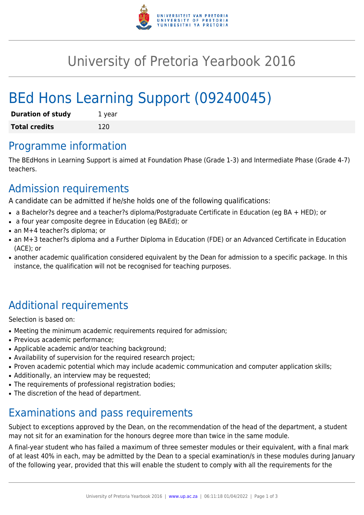

## University of Pretoria Yearbook 2016

# BEd Hons Learning Support (09240045)

| <b>Duration of study</b> | 1 year |
|--------------------------|--------|
| <b>Total credits</b>     | 120    |

### Programme information

The BEdHons in Learning Support is aimed at Foundation Phase (Grade 1-3) and Intermediate Phase (Grade 4-7) teachers.

### Admission requirements

A candidate can be admitted if he/she holds one of the following qualifications:

- a Bachelor?s degree and a teacher?s diploma/Postgraduate Certificate in Education (eg BA + HED); or
- a four year composite degree in Education (eg BAEd); or
- an M+4 teacher?s diploma; or
- an M+3 teacher?s diploma and a Further Diploma in Education (FDE) or an Advanced Certificate in Education (ACE); or
- another academic qualification considered equivalent by the Dean for admission to a specific package. In this instance, the qualification will not be recognised for teaching purposes.

## Additional requirements

Selection is based on:

- Meeting the minimum academic requirements required for admission;
- Previous academic performance:
- Applicable academic and/or teaching background;
- Availability of supervision for the required research project;
- Proven academic potential which may include academic communication and computer application skills;
- Additionally, an interview may be requested;
- The requirements of professional registration bodies;
- The discretion of the head of department.

### Examinations and pass requirements

Subject to exceptions approved by the Dean, on the recommendation of the head of the department, a student may not sit for an examination for the honours degree more than twice in the same module.

A final-year student who has failed a maximum of three semester modules or their equivalent, with a final mark of at least 40% in each, may be admitted by the Dean to a special examination/s in these modules during January of the following year, provided that this will enable the student to comply with all the requirements for the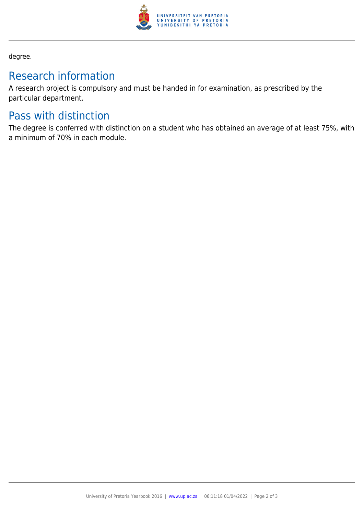

degree.

### Research information

A research project is compulsory and must be handed in for examination, as prescribed by the particular department.

#### Pass with distinction

The degree is conferred with distinction on a student who has obtained an average of at least 75%, with a minimum of 70% in each module.